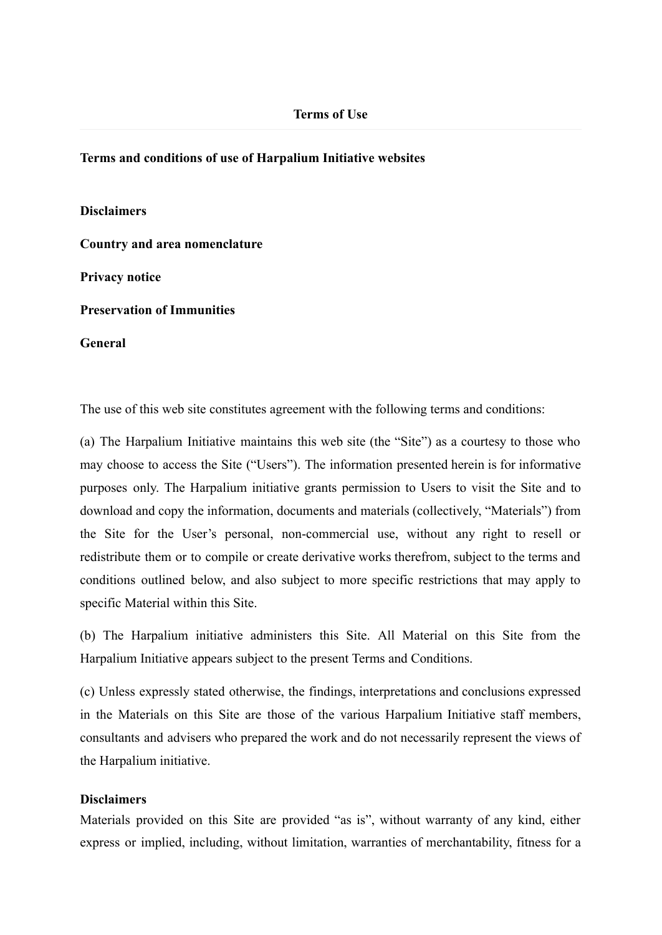### **Terms and conditions of use of Harpalium Initiative websites**

**Disclaimers Country and area nomenclature Privacy notice Preservation of Immunities General**

The use of this web site constitutes agreement with the following terms and conditions:

(a) The Harpalium Initiative maintains this web site (the "Site") as a courtesy to those who may choose to access the Site ("Users"). The information presented herein is for informative purposes only. The Harpalium initiative grants permission to Users to visit the Site and to download and copy the information, documents and materials (collectively, "Materials") from the Site for the User's personal, non-commercial use, without any right to resell or redistribute them or to compile or create derivative works therefrom, subject to the terms and conditions outlined below, and also subject to more specific restrictions that may apply to specific Material within this Site.

(b) The Harpalium initiative administers this Site. All Material on this Site from the Harpalium Initiative appears subject to the present Terms and Conditions.

(c) Unless expressly stated otherwise, the findings, interpretations and conclusions expressed in the Materials on this Site are those of the various Harpalium Initiative staff members, consultants and advisers who prepared the work and do not necessarily represent the views of the Harpalium initiative.

# **Disclaimers**

Materials provided on this Site are provided "as is", without warranty of any kind, either express or implied, including, without limitation, warranties of merchantability, fitness for a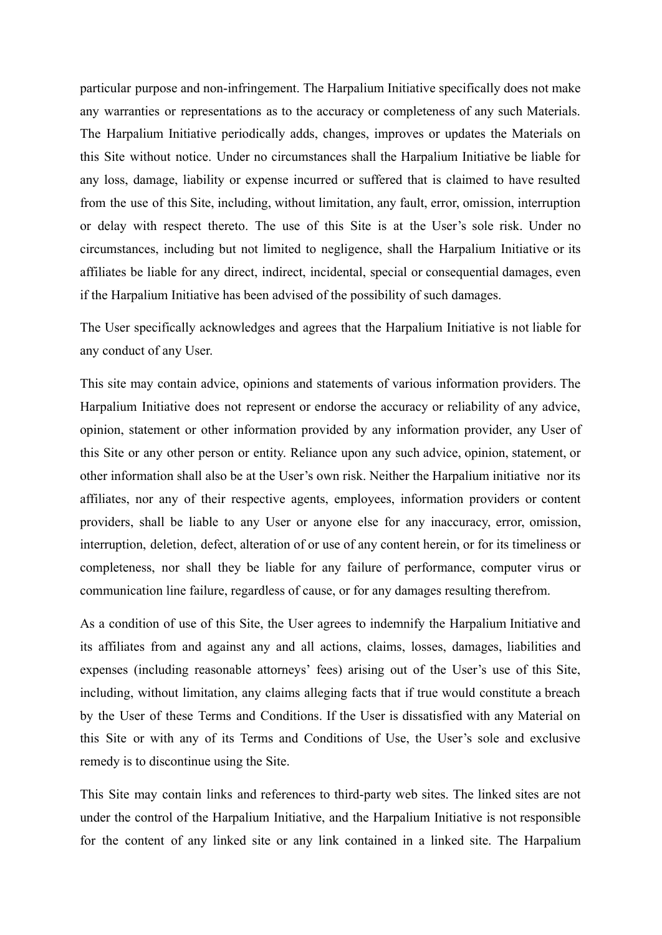particular purpose and non-infringement. The Harpalium Initiative specifically does not make any warranties or representations as to the accuracy or completeness of any such Materials. The Harpalium Initiative periodically adds, changes, improves or updates the Materials on this Site without notice. Under no circumstances shall the Harpalium Initiative be liable for any loss, damage, liability or expense incurred or suffered that is claimed to have resulted from the use of this Site, including, without limitation, any fault, error, omission, interruption or delay with respect thereto. The use of this Site is at the User's sole risk. Under no circumstances, including but not limited to negligence, shall the Harpalium Initiative or its affiliates be liable for any direct, indirect, incidental, special or consequential damages, even if the Harpalium Initiative has been advised of the possibility of such damages.

The User specifically acknowledges and agrees that the Harpalium Initiative is not liable for any conduct of any User.

This site may contain advice, opinions and statements of various information providers. The Harpalium Initiative does not represent or endorse the accuracy or reliability of any advice, opinion, statement or other information provided by any information provider, any User of this Site or any other person or entity. Reliance upon any such advice, opinion, statement, or other information shall also be at the User's own risk. Neither the Harpalium initiative nor its affiliates, nor any of their respective agents, employees, information providers or content providers, shall be liable to any User or anyone else for any inaccuracy, error, omission, interruption, deletion, defect, alteration of or use of any content herein, or for its timeliness or completeness, nor shall they be liable for any failure of performance, computer virus or communication line failure, regardless of cause, or for any damages resulting therefrom.

As a condition of use of this Site, the User agrees to indemnify the Harpalium Initiative and its affiliates from and against any and all actions, claims, losses, damages, liabilities and expenses (including reasonable attorneys' fees) arising out of the User's use of this Site, including, without limitation, any claims alleging facts that if true would constitute a breach by the User of these Terms and Conditions. If the User is dissatisfied with any Material on this Site or with any of its Terms and Conditions of Use, the User's sole and exclusive remedy is to discontinue using the Site.

This Site may contain links and references to third-party web sites. The linked sites are not under the control of the Harpalium Initiative, and the Harpalium Initiative is not responsible for the content of any linked site or any link contained in a linked site. The Harpalium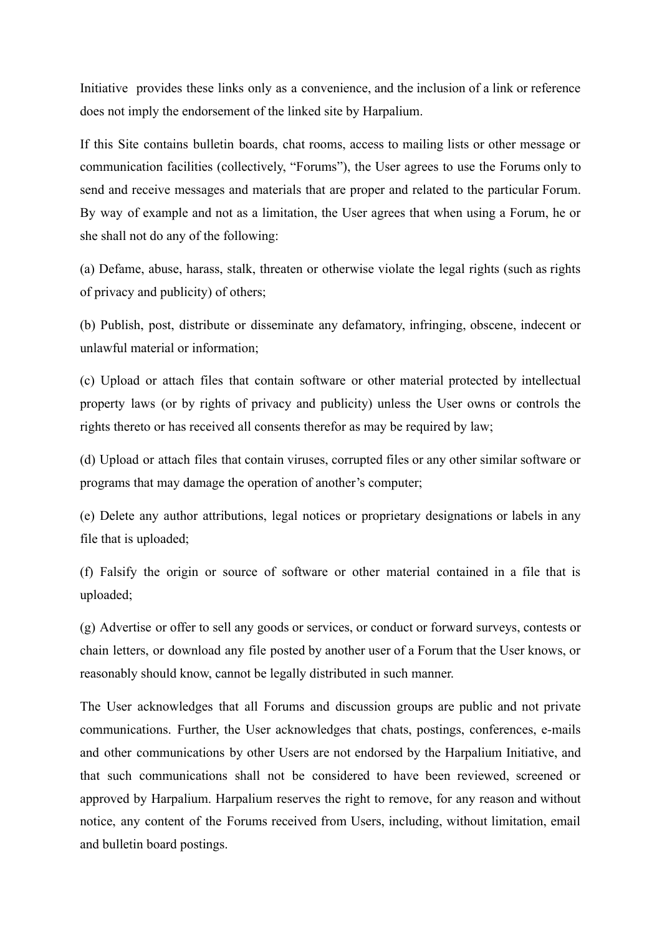Initiative provides these links only as a convenience, and the inclusion of a link or reference does not imply the endorsement of the linked site by Harpalium.

If this Site contains bulletin boards, chat rooms, access to mailing lists or other message or communication facilities (collectively, "Forums"), the User agrees to use the Forums only to send and receive messages and materials that are proper and related to the particular Forum. By way of example and not as a limitation, the User agrees that when using a Forum, he or she shall not do any of the following:

(a) Defame, abuse, harass, stalk, threaten or otherwise violate the legal rights (such as rights of privacy and publicity) of others;

(b) Publish, post, distribute or disseminate any defamatory, infringing, obscene, indecent or unlawful material or information;

(c) Upload or attach files that contain software or other material protected by intellectual property laws (or by rights of privacy and publicity) unless the User owns or controls the rights thereto or has received all consents therefor as may be required by law;

(d) Upload or attach files that contain viruses, corrupted files or any other similar software or programs that may damage the operation of another's computer;

(e) Delete any author attributions, legal notices or proprietary designations or labels in any file that is uploaded;

(f) Falsify the origin or source of software or other material contained in a file that is uploaded;

(g) Advertise or offer to sell any goods or services, or conduct or forward surveys, contests or chain letters, or download any file posted by another user of a Forum that the User knows, or reasonably should know, cannot be legally distributed in such manner.

The User acknowledges that all Forums and discussion groups are public and not private communications. Further, the User acknowledges that chats, postings, conferences, e-mails and other communications by other Users are not endorsed by the Harpalium Initiative, and that such communications shall not be considered to have been reviewed, screened or approved by Harpalium. Harpalium reserves the right to remove, for any reason and without notice, any content of the Forums received from Users, including, without limitation, email and bulletin board postings.